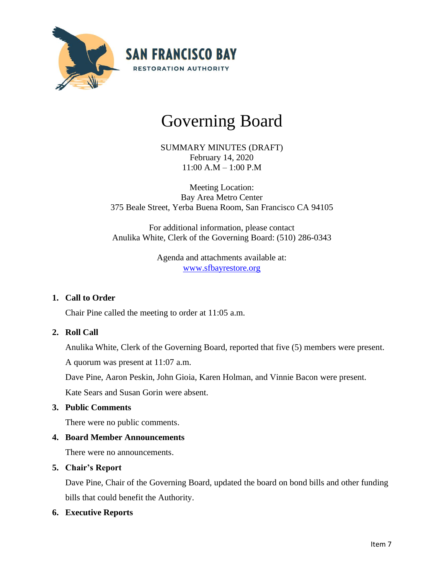

# Governing Board

SUMMARY MINUTES (DRAFT) February 14, 2020 11:00 A.M – 1:00 P.M

Meeting Location: Bay Area Metro Center 375 Beale Street, Yerba Buena Room, San Francisco CA 94105

For additional information, please contact Anulika White, Clerk of the Governing Board: (510) 286-0343

> Agenda and attachments available at: [www.sfbayrestore.org](http://www.sfbayrestore.org/)

# **1. Call to Order**

Chair Pine called the meeting to order at 11:05 a.m.

## **2. Roll Call**

Anulika White, Clerk of the Governing Board, reported that five (5) members were present.

A quorum was present at 11:07 a.m.

Dave Pine, Aaron Peskin, John Gioia, Karen Holman, and Vinnie Bacon were present.

Kate Sears and Susan Gorin were absent.

## **3. Public Comments**

There were no public comments.

## **4. Board Member Announcements**

There were no announcements.

## **5. Chair's Report**

Dave Pine, Chair of the Governing Board, updated the board on bond bills and other funding bills that could benefit the Authority.

## **6. Executive Reports**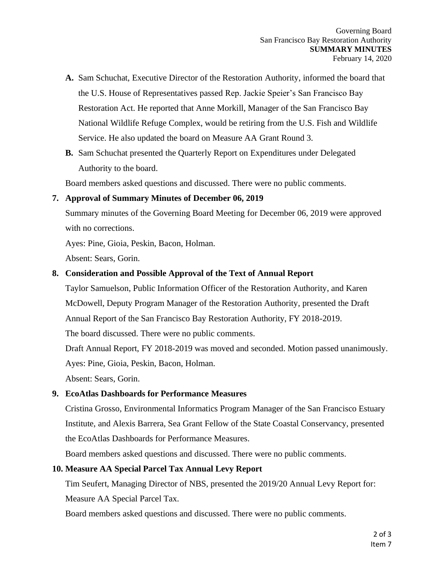- **A.** Sam Schuchat, Executive Director of the Restoration Authority, informed the board that the U.S. House of Representatives passed Rep. Jackie Speier's San Francisco Bay Restoration Act. He reported that Anne Morkill, Manager of the San Francisco Bay National Wildlife Refuge Complex, would be retiring from the U.S. Fish and Wildlife Service. He also updated the board on Measure AA Grant Round 3.
- **B.** Sam Schuchat presented the Quarterly Report on Expenditures under Delegated Authority to the board.

Board members asked questions and discussed. There were no public comments.

## **7. Approval of Summary Minutes of December 06, 2019**

Summary minutes of the Governing Board Meeting for December 06, 2019 were approved with no corrections.

Ayes: Pine, Gioia, Peskin, Bacon, Holman.

Absent: Sears, Gorin.

## **8. Consideration and Possible Approval of the Text of Annual Report**

Taylor Samuelson, Public Information Officer of the Restoration Authority, and Karen McDowell, Deputy Program Manager of the Restoration Authority, presented the Draft Annual Report of the San Francisco Bay Restoration Authority, FY 2018-2019.

The board discussed. There were no public comments.

Draft Annual Report, FY 2018-2019 was moved and seconded. Motion passed unanimously.

Ayes: Pine, Gioia, Peskin, Bacon, Holman.

Absent: Sears, Gorin.

# **9. EcoAtlas Dashboards for Performance Measures**

Cristina Grosso, Environmental Informatics Program Manager of the San Francisco Estuary Institute, and Alexis Barrera, Sea Grant Fellow of the State Coastal Conservancy, presented the EcoAtlas Dashboards for Performance Measures.

Board members asked questions and discussed. There were no public comments.

# **10. Measure AA Special Parcel Tax Annual Levy Report**

Tim Seufert, Managing Director of NBS, presented the 2019/20 Annual Levy Report for: Measure AA Special Parcel Tax.

Board members asked questions and discussed. There were no public comments.